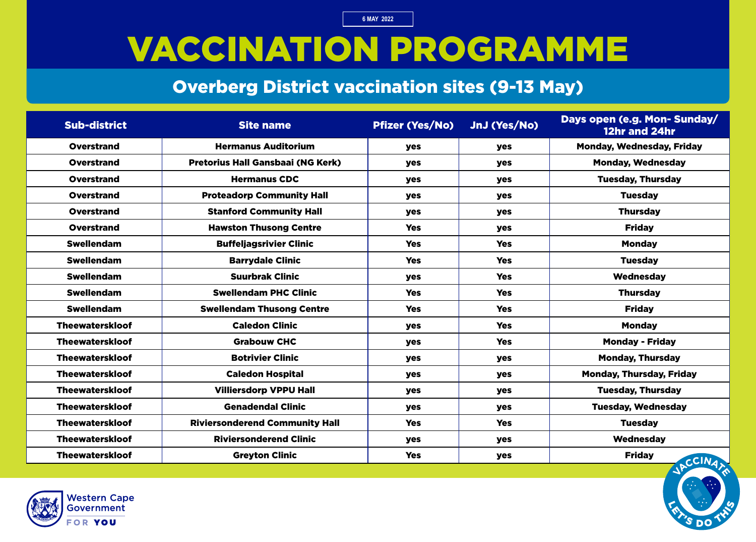### VACCINATION PROGRAMME

#### Overberg District vaccination sites (9-13 May)

| <b>Sub-district</b>    | <b>Site name</b>                         | <b>Pfizer (Yes/No)</b> | JnJ (Yes/No) | Days open (e.g. Mon- Sunday/<br>12hr and 24hr |
|------------------------|------------------------------------------|------------------------|--------------|-----------------------------------------------|
| <b>Overstrand</b>      | <b>Hermanus Auditorium</b>               | <b>yes</b>             | <b>yes</b>   | <b>Monday, Wednesday, Friday</b>              |
| <b>Overstrand</b>      | <b>Pretorius Hall Gansbaai (NG Kerk)</b> | <b>yes</b>             | <b>yes</b>   | <b>Monday, Wednesday</b>                      |
| <b>Overstrand</b>      | <b>Hermanus CDC</b>                      | <b>yes</b>             | <b>yes</b>   | <b>Tuesday, Thursday</b>                      |
| <b>Overstrand</b>      | <b>Proteadorp Community Hall</b>         | yes                    | <b>yes</b>   | <b>Tuesday</b>                                |
| <b>Overstrand</b>      | <b>Stanford Community Hall</b>           | yes                    | <b>yes</b>   | <b>Thursday</b>                               |
| <b>Overstrand</b>      | <b>Hawston Thusong Centre</b>            | <b>Yes</b>             | yes          | <b>Friday</b>                                 |
| <b>Swellendam</b>      | <b>Buffeljagsrivier Clinic</b>           | <b>Yes</b>             | <b>Yes</b>   | <b>Monday</b>                                 |
| <b>Swellendam</b>      | <b>Barrydale Clinic</b>                  | <b>Yes</b>             | <b>Yes</b>   | <b>Tuesday</b>                                |
| <b>Swellendam</b>      | <b>Suurbrak Clinic</b>                   | yes                    | <b>Yes</b>   | Wednesday                                     |
| <b>Swellendam</b>      | <b>Swellendam PHC Clinic</b>             | <b>Yes</b>             | <b>Yes</b>   | <b>Thursday</b>                               |
| <b>Swellendam</b>      | <b>Swellendam Thusong Centre</b>         | <b>Yes</b>             | <b>Yes</b>   | <b>Friday</b>                                 |
| <b>Theewaterskloof</b> | <b>Caledon Clinic</b>                    | <b>yes</b>             | <b>Yes</b>   | <b>Monday</b>                                 |
| <b>Theewaterskloof</b> | <b>Grabouw CHC</b>                       | yes                    | <b>Yes</b>   | <b>Monday - Friday</b>                        |
| <b>Theewaterskloof</b> | <b>Botrivier Clinic</b>                  | <b>yes</b>             | yes          | <b>Monday, Thursday</b>                       |
| <b>Theewaterskloof</b> | <b>Caledon Hospital</b>                  | yes                    | <b>yes</b>   | <b>Monday, Thursday, Friday</b>               |
| <b>Theewaterskloof</b> | <b>Villiersdorp VPPU Hall</b>            | <b>yes</b>             | <b>yes</b>   | <b>Tuesday, Thursday</b>                      |
| <b>Theewaterskloof</b> | <b>Genadendal Clinic</b>                 | <b>yes</b>             | yes          | <b>Tuesday, Wednesday</b>                     |
| <b>Theewaterskloof</b> | <b>Riviersonderend Community Hall</b>    | <b>Yes</b>             | <b>Yes</b>   | <b>Tuesday</b>                                |
| <b>Theewaterskloof</b> | <b>Riviersonderend Clinic</b>            | yes                    | <b>yes</b>   | Wednesday                                     |
| <b>Theewaterskloof</b> | <b>Greyton Clinic</b>                    | <b>Yes</b>             | yes          | <b>Friday</b><br>$c$ CIN <sub>4</sub> $\sim$  |

=

=

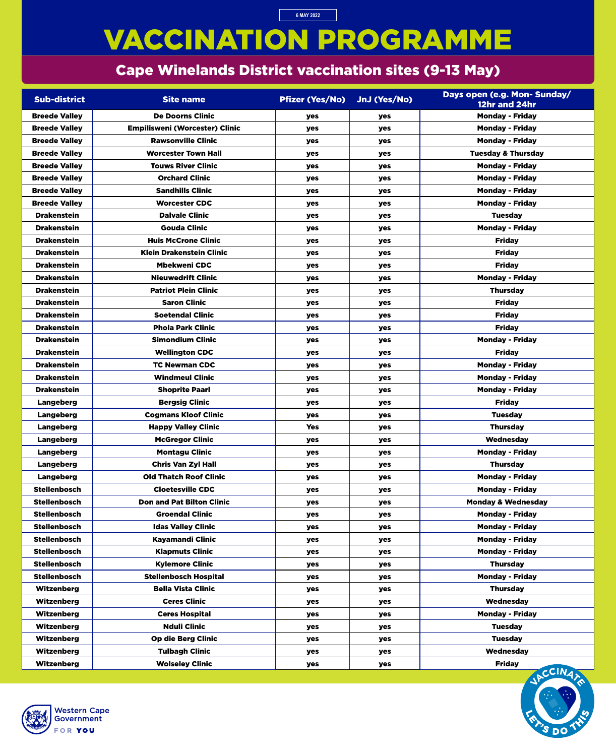# VACCINATION PROGRAMME

### Cape Winelands District vaccination sites (9-13 May)

**6 MAY 2022**

| <b>Sub-district</b>  | <b>Site name</b>                      | <b>Pfizer (Yes/No)</b> | JnJ (Yes/No) | Days open (e.g. Mon- Sunday/<br>12hr and 24hr |
|----------------------|---------------------------------------|------------------------|--------------|-----------------------------------------------|
| <b>Breede Valley</b> | <b>De Doorns Clinic</b>               | <b>yes</b>             | yes          | <b>Monday - Friday</b>                        |
| <b>Breede Valley</b> | <b>Empilisweni (Worcester) Clinic</b> | <b>yes</b>             | yes          | <b>Monday - Friday</b>                        |
| <b>Breede Valley</b> | <b>Rawsonville Clinic</b>             | <b>yes</b>             | yes          | <b>Monday - Friday</b>                        |
| <b>Breede Valley</b> | <b>Worcester Town Hall</b>            | <b>yes</b>             | yes          | <b>Tuesday &amp; Thursday</b>                 |
| <b>Breede Valley</b> | <b>Touws River Clinic</b>             | <b>yes</b>             | yes          | <b>Monday - Friday</b>                        |
| <b>Breede Valley</b> | <b>Orchard Clinic</b>                 | yes                    | yes          | <b>Monday - Friday</b>                        |
| <b>Breede Valley</b> | <b>Sandhills Clinic</b>               | <b>yes</b>             | yes          | <b>Monday - Friday</b>                        |
| <b>Breede Valley</b> | <b>Worcester CDC</b>                  | yes                    | yes          | <b>Monday - Friday</b>                        |
| <b>Drakenstein</b>   | <b>Dalvale Clinic</b>                 | <b>yes</b>             | yes          | <b>Tuesday</b>                                |
| <b>Drakenstein</b>   | <b>Gouda Clinic</b>                   | yes                    | yes          | <b>Monday - Friday</b>                        |
| <b>Drakenstein</b>   | <b>Huis McCrone Clinic</b>            | <b>yes</b>             | <b>yes</b>   | <b>Friday</b>                                 |
| <b>Drakenstein</b>   | <b>Klein Drakenstein Clinic</b>       | <b>yes</b>             | yes          | <b>Friday</b>                                 |
| <b>Drakenstein</b>   | <b>Mbekweni CDC</b>                   | yes                    | yes          | <b>Friday</b>                                 |
| <b>Drakenstein</b>   | <b>Nieuwedrift Clinic</b>             | <b>yes</b>             | yes          | <b>Monday - Friday</b>                        |
| <b>Drakenstein</b>   | <b>Patriot Plein Clinic</b>           | <b>yes</b>             | yes          | <b>Thursday</b>                               |
| <b>Drakenstein</b>   | <b>Saron Clinic</b>                   | <b>yes</b>             | <b>yes</b>   | <b>Friday</b>                                 |
| <b>Drakenstein</b>   | <b>Soetendal Clinic</b>               | yes                    | yes          | <b>Friday</b>                                 |
| <b>Drakenstein</b>   | <b>Phola Park Clinic</b>              | yes                    | yes          | <b>Friday</b>                                 |
| <b>Drakenstein</b>   | <b>Simondium Clinic</b>               | yes                    | yes          | <b>Monday - Friday</b>                        |
| <b>Drakenstein</b>   | <b>Wellington CDC</b>                 | yes                    | yes          | <b>Friday</b>                                 |
| <b>Drakenstein</b>   | <b>TC Newman CDC</b>                  | yes                    | yes          | <b>Monday - Friday</b>                        |
| <b>Drakenstein</b>   | <b>Windmeul Clinic</b>                | yes                    | yes          | <b>Monday - Friday</b>                        |
| <b>Drakenstein</b>   | <b>Shoprite Paarl</b>                 | yes                    | yes          | <b>Monday - Friday</b>                        |
| <b>Langeberg</b>     | <b>Bergsig Clinic</b>                 | yes                    | yes          | <b>Friday</b>                                 |
| <b>Langeberg</b>     | <b>Cogmans Kloof Clinic</b>           | <b>yes</b>             | <b>yes</b>   | <b>Tuesday</b>                                |
| <b>Langeberg</b>     | <b>Happy Valley Clinic</b>            | <b>Yes</b>             | yes          | <b>Thursday</b>                               |
| Langeberg            | <b>McGregor Clinic</b>                | yes                    | <b>yes</b>   | <b>Wednesday</b>                              |
| <b>Langeberg</b>     | <b>Montagu Clinic</b>                 | yes                    | yes          | <b>Monday - Friday</b>                        |
| <b>Langeberg</b>     | <b>Chris Van Zyl Hall</b>             | yes                    | <b>yes</b>   | <b>Thursday</b>                               |
| <b>Langeberg</b>     | <b>Old Thatch Roof Clinic</b>         | yes                    | yes          | <b>Monday - Friday</b>                        |
| <b>Stellenbosch</b>  | <b>Cloetesville CDC</b>               | yes                    | yes          | <b>Monday - Friday</b>                        |
| <b>Stellenbosch</b>  | <b>Don and Pat Bilton Clinic</b>      | yes                    | yes          | <b>Monday &amp; Wednesday</b>                 |
| <b>Stellenbosch</b>  | <b>Groendal Clinic</b>                | yes                    | yes          | <b>Monday - Friday</b>                        |
| <b>Stellenbosch</b>  | <b>Idas Valley Clinic</b>             | yes                    | yes          | <b>Monday - Friday</b>                        |
| <b>Stellenbosch</b>  | <b>Kayamandi Clinic</b>               | yes                    | yes          | <b>Monday - Friday</b>                        |
| <b>Stellenbosch</b>  | <b>Klapmuts Clinic</b>                | <b>yes</b>             | <b>yes</b>   | <b>Monday - Friday</b>                        |
| <b>Stellenbosch</b>  | <b>Kylemore Clinic</b>                | yes                    | yes          | <b>Thursday</b>                               |
| <b>Stellenbosch</b>  | <b>Stellenbosch Hospital</b>          | yes                    | yes          | <b>Monday - Friday</b>                        |
| <b>Witzenberg</b>    | <b>Bella Vista Clinic</b>             | yes                    | yes          | <b>Thursday</b>                               |
| <b>Witzenberg</b>    | <b>Ceres Clinic</b>                   | yes                    | yes          | <b>Wednesday</b>                              |
| <b>Witzenberg</b>    | <b>Ceres Hospital</b>                 | yes                    | yes          | <b>Monday - Friday</b>                        |
| Witzenberg           | <b>Nduli Clinic</b>                   | yes                    | yes          | <b>Tuesday</b>                                |
| Witzenberg           | <b>Op die Berg Clinic</b>             | yes                    | yes          | <b>Tuesday</b>                                |
| <b>Witzenberg</b>    | <b>Tulbagh Clinic</b>                 | yes                    | yes          | Wednesday                                     |
| Witzenberg           | <b>Wolseley Clinic</b>                | yes                    | yes          | <b>Friday</b><br><b>ANTINEE</b>               |



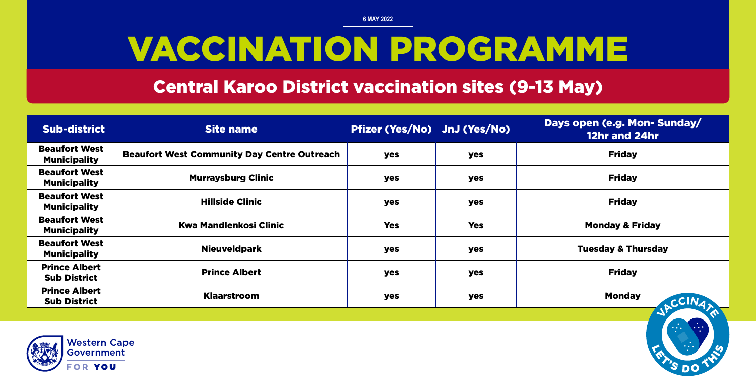# VACCINATION PROGRAMME

#### Central Karoo District vaccination sites (9-13 May)

| <b>Sub-district</b>                         | <b>Site name</b>                                   | Pfizer (Yes/No) JnJ (Yes/No) |            | Days open (e.g. Mon- Sunday/<br>12hr and 24hr |
|---------------------------------------------|----------------------------------------------------|------------------------------|------------|-----------------------------------------------|
| <b>Beaufort West</b><br><b>Municipality</b> | <b>Beaufort West Community Day Centre Outreach</b> | yes                          | yes        | <b>Friday</b>                                 |
| <b>Beaufort West</b><br><b>Municipality</b> | <b>Murraysburg Clinic</b>                          | yes                          | <b>yes</b> | <b>Friday</b>                                 |
| <b>Beaufort West</b><br><b>Municipality</b> | <b>Hillside Clinic</b>                             | yes                          | yes        | <b>Friday</b>                                 |
| <b>Beaufort West</b><br><b>Municipality</b> | <b>Kwa Mandlenkosi Clinic</b>                      | <b>Yes</b>                   | <b>Yes</b> | <b>Monday &amp; Friday</b>                    |
| <b>Beaufort West</b><br><b>Municipality</b> | <b>Nieuveldpark</b>                                | yes                          | yes        | <b>Tuesday &amp; Thursday</b>                 |
| <b>Prince Albert</b><br><b>Sub District</b> | <b>Prince Albert</b>                               | yes                          | <b>yes</b> | <b>Friday</b>                                 |
| <b>Prince Albert</b><br><b>Sub District</b> | <b>Klaarstroom</b>                                 | yes                          | yes        | <b>Monday</b><br>CCINAR                       |

=

=

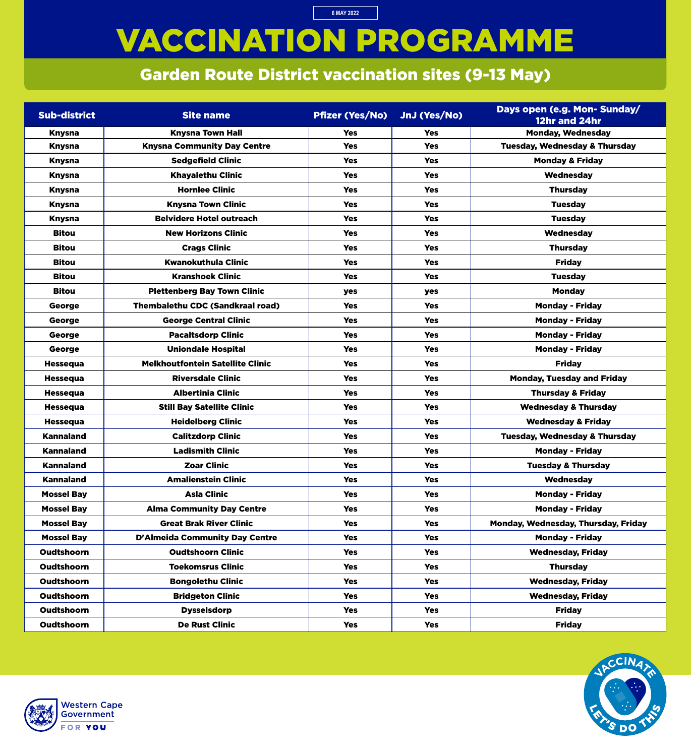# VACCINATION PROGRAMME

**6 MAY 2022**

### Garden Route District vaccination sites (9-13 May)

| <b>Sub-district</b> | <b>Site name</b>                        | <b>Pfizer (Yes/No)</b> | JnJ (Yes/No) | Days open (e.g. Mon- Sunday/<br>12hr and 24hr |
|---------------------|-----------------------------------------|------------------------|--------------|-----------------------------------------------|
| <b>Knysna</b>       | <b>Knysna Town Hall</b>                 | <b>Yes</b>             | <b>Yes</b>   | <b>Monday, Wednesday</b>                      |
| <b>Knysna</b>       | <b>Knysna Community Day Centre</b>      | <b>Yes</b>             | <b>Yes</b>   | <b>Tuesday, Wednesday &amp; Thursday</b>      |
| <b>Knysna</b>       | <b>Sedgefield Clinic</b>                | <b>Yes</b>             | <b>Yes</b>   | <b>Monday &amp; Friday</b>                    |
| <b>Knysna</b>       | <b>Khayalethu Clinic</b>                | <b>Yes</b>             | <b>Yes</b>   | Wednesday                                     |
| <b>Knysna</b>       | <b>Hornlee Clinic</b>                   | <b>Yes</b>             | <b>Yes</b>   | <b>Thursday</b>                               |
| <b>Knysna</b>       | <b>Knysna Town Clinic</b>               | <b>Yes</b>             | <b>Yes</b>   | <b>Tuesday</b>                                |
| <b>Knysna</b>       | <b>Belvidere Hotel outreach</b>         | <b>Yes</b>             | <b>Yes</b>   | <b>Tuesday</b>                                |
| <b>Bitou</b>        | <b>New Horizons Clinic</b>              | <b>Yes</b>             | <b>Yes</b>   | Wednesday                                     |
| <b>Bitou</b>        | <b>Crags Clinic</b>                     | <b>Yes</b>             | <b>Yes</b>   | <b>Thursday</b>                               |
| <b>Bitou</b>        | <b>Kwanokuthula Clinic</b>              | <b>Yes</b>             | <b>Yes</b>   | <b>Friday</b>                                 |
| <b>Bitou</b>        | <b>Kranshoek Clinic</b>                 | <b>Yes</b>             | <b>Yes</b>   | <b>Tuesday</b>                                |
| <b>Bitou</b>        | <b>Plettenberg Bay Town Clinic</b>      | yes                    | yes          | <b>Monday</b>                                 |
| George              | <b>Thembalethu CDC (Sandkraal road)</b> | <b>Yes</b>             | <b>Yes</b>   | <b>Monday - Friday</b>                        |
| George              | <b>George Central Clinic</b>            | <b>Yes</b>             | <b>Yes</b>   | <b>Monday - Friday</b>                        |
| George              | <b>Pacaltsdorp Clinic</b>               | <b>Yes</b>             | <b>Yes</b>   | <b>Monday - Friday</b>                        |
| George              | <b>Uniondale Hospital</b>               | <b>Yes</b>             | <b>Yes</b>   | <b>Monday - Friday</b>                        |
| <b>Hessequa</b>     | <b>Melkhoutfontein Satellite Clinic</b> | <b>Yes</b>             | <b>Yes</b>   | <b>Friday</b>                                 |
| <b>Hessequa</b>     | <b>Riversdale Clinic</b>                | <b>Yes</b>             | <b>Yes</b>   | <b>Monday, Tuesday and Friday</b>             |
| <b>Hessequa</b>     | <b>Albertinia Clinic</b>                | <b>Yes</b>             | <b>Yes</b>   | <b>Thursday &amp; Friday</b>                  |
| <b>Hessequa</b>     | <b>Still Bay Satellite Clinic</b>       | <b>Yes</b>             | <b>Yes</b>   | <b>Wednesday &amp; Thursday</b>               |
| <b>Hessequa</b>     | <b>Heidelberg Clinic</b>                | <b>Yes</b>             | <b>Yes</b>   | <b>Wednesday &amp; Friday</b>                 |
| <b>Kannaland</b>    | <b>Calitzdorp Clinic</b>                | <b>Yes</b>             | <b>Yes</b>   | <b>Tuesday, Wednesday &amp; Thursday</b>      |
| <b>Kannaland</b>    | <b>Ladismith Clinic</b>                 | <b>Yes</b>             | <b>Yes</b>   | <b>Monday - Friday</b>                        |
| <b>Kannaland</b>    | <b>Zoar Clinic</b>                      | <b>Yes</b>             | <b>Yes</b>   | <b>Tuesday &amp; Thursday</b>                 |
| <b>Kannaland</b>    | <b>Amalienstein Clinic</b>              | <b>Yes</b>             | <b>Yes</b>   | Wednesday                                     |
| <b>Mossel Bay</b>   | <b>Asla Clinic</b>                      | <b>Yes</b>             | <b>Yes</b>   | <b>Monday - Friday</b>                        |
| <b>Mossel Bay</b>   | <b>Alma Community Day Centre</b>        | <b>Yes</b>             | <b>Yes</b>   | <b>Monday - Friday</b>                        |
| <b>Mossel Bay</b>   | <b>Great Brak River Clinic</b>          | <b>Yes</b>             | <b>Yes</b>   | Monday, Wednesday, Thursday, Friday           |
| <b>Mossel Bay</b>   | <b>D'Almeida Community Day Centre</b>   | <b>Yes</b>             | <b>Yes</b>   | <b>Monday - Friday</b>                        |
| <b>Oudtshoorn</b>   | <b>Oudtshoorn Clinic</b>                | <b>Yes</b>             | <b>Yes</b>   | <b>Wednesday, Friday</b>                      |
| <b>Oudtshoorn</b>   | <b>Toekomsrus Clinic</b>                | <b>Yes</b>             | <b>Yes</b>   | <b>Thursday</b>                               |
| <b>Oudtshoorn</b>   | <b>Bongolethu Clinic</b>                | <b>Yes</b>             | <b>Yes</b>   | <b>Wednesday, Friday</b>                      |
| <b>Oudtshoorn</b>   | <b>Bridgeton Clinic</b>                 | <b>Yes</b>             | <b>Yes</b>   | <b>Wednesday, Friday</b>                      |
| <b>Oudtshoorn</b>   | <b>Dysselsdorp</b>                      | <b>Yes</b>             | <b>Yes</b>   | <b>Friday</b>                                 |
| Oudtshoorn          | <b>De Rust Clinic</b>                   | <b>Yes</b>             | <b>Yes</b>   | <b>Friday</b>                                 |



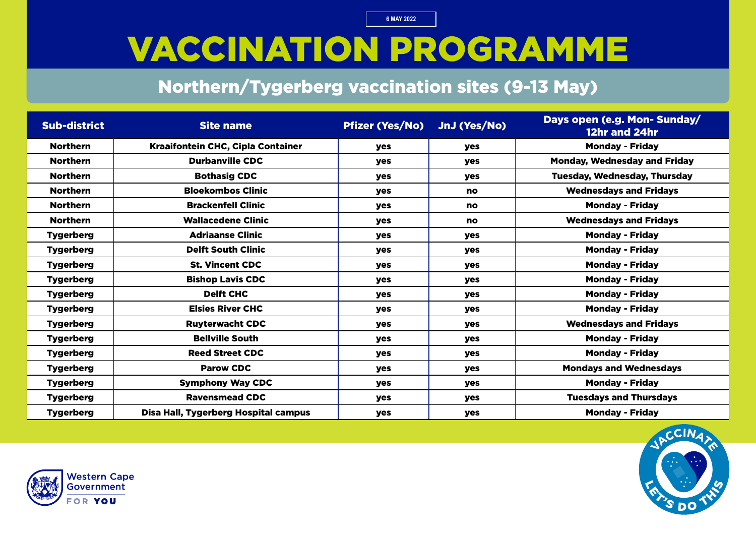# VACCINATION PROGRAMME

#### Northern/Tygerberg vaccination sites (9-13 May)

| <b>Sub-district</b> | <b>Site name</b>                         | <b>Pfizer (Yes/No)</b> | JnJ (Yes/No) | Days open (e.g. Mon- Sunday/<br>12hr and 24hr |
|---------------------|------------------------------------------|------------------------|--------------|-----------------------------------------------|
| <b>Northern</b>     | <b>Kraaifontein CHC, Cipla Container</b> | yes                    | yes          | <b>Monday - Friday</b>                        |
| <b>Northern</b>     | <b>Durbanville CDC</b>                   | <b>yes</b>             | yes          | <b>Monday, Wednesday and Friday</b>           |
| <b>Northern</b>     | <b>Bothasig CDC</b>                      | <b>yes</b>             | <b>yes</b>   | <b>Tuesday, Wednesday, Thursday</b>           |
| <b>Northern</b>     | <b>Bloekombos Clinic</b>                 | <b>yes</b>             | <b>no</b>    | <b>Wednesdays and Fridays</b>                 |
| <b>Northern</b>     | <b>Brackenfell Clinic</b>                | <b>yes</b>             | no           | <b>Monday - Friday</b>                        |
| <b>Northern</b>     | <b>Wallacedene Clinic</b>                | <b>yes</b>             | <b>no</b>    | <b>Wednesdays and Fridays</b>                 |
| <b>Tygerberg</b>    | <b>Adriaanse Clinic</b>                  | yes                    | yes          | <b>Monday - Friday</b>                        |
| <b>Tygerberg</b>    | <b>Delft South Clinic</b>                | yes                    | yes          | <b>Monday - Friday</b>                        |
| <b>Tygerberg</b>    | <b>St. Vincent CDC</b>                   | <b>yes</b>             | yes          | <b>Monday - Friday</b>                        |
| <b>Tygerberg</b>    | <b>Bishop Lavis CDC</b>                  | <b>yes</b>             | <b>yes</b>   | <b>Monday - Friday</b>                        |
| <b>Tygerberg</b>    | <b>Delft CHC</b>                         | <b>yes</b>             | <b>yes</b>   | <b>Monday - Friday</b>                        |
| <b>Tygerberg</b>    | <b>Elsies River CHC</b>                  | yes                    | yes          | <b>Monday - Friday</b>                        |
| <b>Tygerberg</b>    | <b>Ruyterwacht CDC</b>                   | <b>yes</b>             | <b>yes</b>   | <b>Wednesdays and Fridays</b>                 |
| <b>Tygerberg</b>    | <b>Bellville South</b>                   | <b>yes</b>             | <b>yes</b>   | <b>Monday - Friday</b>                        |
| <b>Tygerberg</b>    | <b>Reed Street CDC</b>                   | <b>yes</b>             | yes          | <b>Monday - Friday</b>                        |
| <b>Tygerberg</b>    | <b>Parow CDC</b>                         | <b>yes</b>             | yes          | <b>Mondays and Wednesdays</b>                 |
| <b>Tygerberg</b>    | <b>Symphony Way CDC</b>                  | <b>yes</b>             | <b>yes</b>   | <b>Monday - Friday</b>                        |
| <b>Tygerberg</b>    | <b>Ravensmead CDC</b>                    | yes                    | yes          | <b>Tuesdays and Thursdays</b>                 |
| <b>Tygerberg</b>    | Disa Hall, Tygerberg Hospital campus     | yes                    | yes          | <b>Monday - Friday</b>                        |



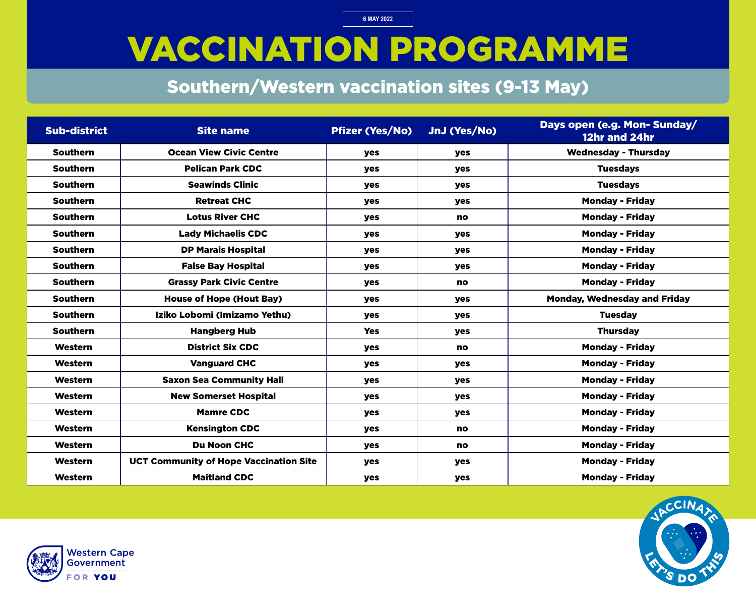# VACCINATION PROGRAMME

### Southern/Western vaccination sites (9-13 May)

| <b>Sub-district</b> | <b>Site name</b>                              | <b>Pfizer (Yes/No)</b> | JnJ (Yes/No) | Days open (e.g. Mon- Sunday/<br>12hr and 24hr |
|---------------------|-----------------------------------------------|------------------------|--------------|-----------------------------------------------|
| <b>Southern</b>     | <b>Ocean View Civic Centre</b>                | <b>yes</b>             | yes          | <b>Wednesday - Thursday</b>                   |
| <b>Southern</b>     | <b>Pelican Park CDC</b>                       | <b>yes</b>             | <b>yes</b>   | <b>Tuesdays</b>                               |
| <b>Southern</b>     | <b>Seawinds Clinic</b>                        | <b>yes</b>             | <b>yes</b>   | <b>Tuesdays</b>                               |
| <b>Southern</b>     | <b>Retreat CHC</b>                            | yes                    | <b>yes</b>   | <b>Monday - Friday</b>                        |
| <b>Southern</b>     | <b>Lotus River CHC</b>                        | <b>yes</b>             | <b>no</b>    | <b>Monday - Friday</b>                        |
| <b>Southern</b>     | <b>Lady Michaelis CDC</b>                     | <b>yes</b>             | <b>yes</b>   | <b>Monday - Friday</b>                        |
| <b>Southern</b>     | <b>DP Marais Hospital</b>                     | <b>yes</b>             | <b>yes</b>   | <b>Monday - Friday</b>                        |
| <b>Southern</b>     | <b>False Bay Hospital</b>                     | yes                    | <b>yes</b>   | <b>Monday - Friday</b>                        |
| <b>Southern</b>     | <b>Grassy Park Civic Centre</b>               | <b>yes</b>             | no           | <b>Monday - Friday</b>                        |
| <b>Southern</b>     | <b>House of Hope (Hout Bay)</b>               | <b>yes</b>             | <b>yes</b>   | <b>Monday, Wednesday and Friday</b>           |
| <b>Southern</b>     | Iziko Lobomi (Imizamo Yethu)                  | <b>yes</b>             | <b>yes</b>   | <b>Tuesday</b>                                |
| <b>Southern</b>     | <b>Hangberg Hub</b>                           | <b>Yes</b>             | yes          | <b>Thursday</b>                               |
| Western             | <b>District Six CDC</b>                       | <b>yes</b>             | <b>no</b>    | <b>Monday - Friday</b>                        |
| Western             | <b>Vanguard CHC</b>                           | yes                    | <b>yes</b>   | <b>Monday - Friday</b>                        |
| Western             | <b>Saxon Sea Community Hall</b>               | <b>yes</b>             | yes          | <b>Monday - Friday</b>                        |
| Western             | <b>New Somerset Hospital</b>                  | <b>yes</b>             | <b>yes</b>   | <b>Monday - Friday</b>                        |
| <b>Western</b>      | <b>Mamre CDC</b>                              | <b>yes</b>             | <b>yes</b>   | <b>Monday - Friday</b>                        |
| Western             | <b>Kensington CDC</b>                         | yes                    | <b>no</b>    | <b>Monday - Friday</b>                        |
| Western             | <b>Du Noon CHC</b>                            | <b>yes</b>             | no           | <b>Monday - Friday</b>                        |
| Western             | <b>UCT Community of Hope Vaccination Site</b> | yes                    | yes          | <b>Monday - Friday</b>                        |
| Western             | <b>Maitland CDC</b>                           | <b>yes</b>             | yes          | <b>Monday - Friday</b>                        |



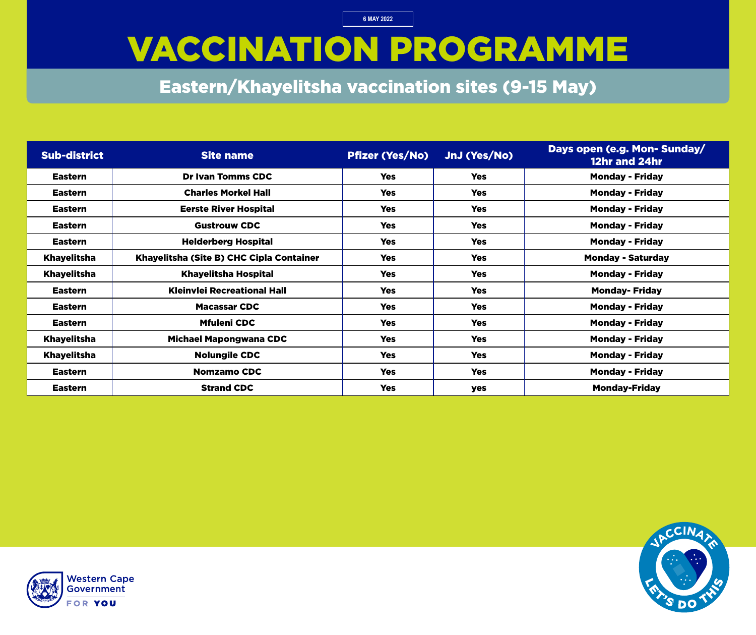### VACCINATION PROGRAMME

Eastern/Khayelitsha vaccination sites (9-15 May)

| <b>Sub-district</b> | <b>Site name</b>                         | <b>Pfizer (Yes/No)</b> | JnJ (Yes/No) | Days open (e.g. Mon- Sunday/<br>12hr and 24hr |
|---------------------|------------------------------------------|------------------------|--------------|-----------------------------------------------|
| <b>Eastern</b>      | <b>Dr Ivan Tomms CDC</b>                 | <b>Yes</b>             | <b>Yes</b>   | <b>Monday - Friday</b>                        |
| <b>Eastern</b>      | <b>Charles Morkel Hall</b>               | <b>Yes</b>             | <b>Yes</b>   | <b>Monday - Friday</b>                        |
| <b>Eastern</b>      | <b>Eerste River Hospital</b>             | <b>Yes</b>             | <b>Yes</b>   | <b>Monday - Friday</b>                        |
| <b>Eastern</b>      | <b>Gustrouw CDC</b>                      | <b>Yes</b>             | <b>Yes</b>   | <b>Monday - Friday</b>                        |
| <b>Eastern</b>      | <b>Helderberg Hospital</b>               | <b>Yes</b>             | <b>Yes</b>   | <b>Monday - Friday</b>                        |
| <b>Khayelitsha</b>  | Khayelitsha (Site B) CHC Cipla Container | <b>Yes</b>             | <b>Yes</b>   | <b>Monday - Saturday</b>                      |
| <b>Khayelitsha</b>  | <b>Khayelitsha Hospital</b>              | <b>Yes</b>             | <b>Yes</b>   | <b>Monday - Friday</b>                        |
| <b>Eastern</b>      | <b>Kleinvlei Recreational Hall</b>       | <b>Yes</b>             | <b>Yes</b>   | <b>Monday-Friday</b>                          |
| <b>Eastern</b>      | <b>Macassar CDC</b>                      | <b>Yes</b>             | <b>Yes</b>   | <b>Monday - Friday</b>                        |
| <b>Eastern</b>      | <b>Mfuleni CDC</b>                       | <b>Yes</b>             | <b>Yes</b>   | <b>Monday - Friday</b>                        |
| <b>Khayelitsha</b>  | <b>Michael Mapongwana CDC</b>            | <b>Yes</b>             | <b>Yes</b>   | <b>Monday - Friday</b>                        |
| <b>Khayelitsha</b>  | <b>Nolungile CDC</b>                     | <b>Yes</b>             | <b>Yes</b>   | <b>Monday - Friday</b>                        |
| <b>Eastern</b>      | <b>Nomzamo CDC</b>                       | <b>Yes</b>             | <b>Yes</b>   | <b>Monday - Friday</b>                        |
| <b>Eastern</b>      | <b>Strand CDC</b>                        | <b>Yes</b>             | yes          | <b>Monday-Friday</b>                          |



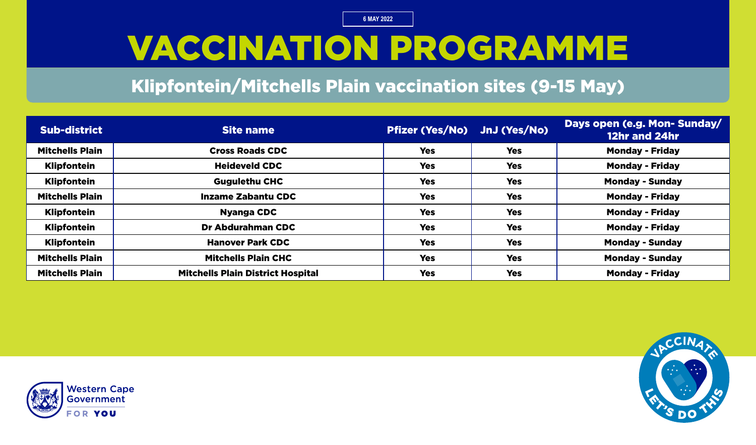### VACCINATION PROGRAMME

#### Klipfontein/Mitchells Plain vaccination sites (9-15 May)

| <b>Sub-district</b>    | <b>Site name</b>                         | Pfizer (Yes/No) JnJ (Yes/No) |            | Days open (e.g. Mon-Sunday/<br>12hr and 24hr |
|------------------------|------------------------------------------|------------------------------|------------|----------------------------------------------|
| <b>Mitchells Plain</b> | <b>Cross Roads CDC</b>                   | <b>Yes</b>                   | <b>Yes</b> | <b>Monday - Friday</b>                       |
| <b>Klipfontein</b>     | <b>Heideveld CDC</b>                     | <b>Yes</b>                   | <b>Yes</b> | <b>Monday - Friday</b>                       |
| <b>Klipfontein</b>     | <b>Gugulethu CHC</b>                     | <b>Yes</b>                   | <b>Yes</b> | <b>Monday - Sunday</b>                       |
| <b>Mitchells Plain</b> | <b>Inzame Zabantu CDC</b>                | <b>Yes</b>                   | <b>Yes</b> | <b>Monday - Friday</b>                       |
| <b>Klipfontein</b>     | <b>Nyanga CDC</b>                        | <b>Yes</b>                   | <b>Yes</b> | <b>Monday - Friday</b>                       |
| <b>Klipfontein</b>     | Dr Abdurahman CDC                        | <b>Yes</b>                   | <b>Yes</b> | <b>Monday - Friday</b>                       |
| <b>Klipfontein</b>     | <b>Hanover Park CDC</b>                  | <b>Yes</b>                   | <b>Yes</b> | <b>Monday - Sunday</b>                       |
| <b>Mitchells Plain</b> | <b>Mitchells Plain CHC</b>               | <b>Yes</b>                   | <b>Yes</b> | <b>Monday - Sunday</b>                       |
| <b>Mitchells Plain</b> | <b>Mitchells Plain District Hospital</b> | <b>Yes</b>                   | <b>Yes</b> | <b>Monday - Friday</b>                       |